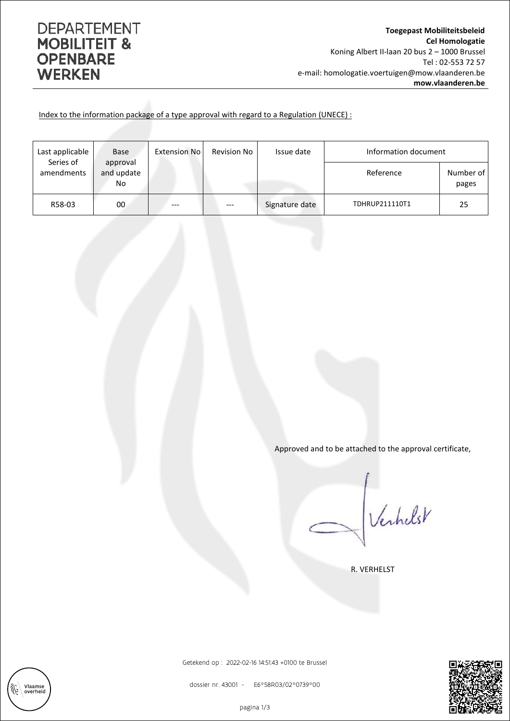## **DEPARTEMENT MOBILITEIT & OPENBARE WERKEN**

Vlaamse<br>overheid

‴

Index to the information package of a type approval with regard to a Regulation (UNECE) :

| Last applicable<br>Series of | <b>Base</b>                  | <b>Extension No</b> | Revision No | Issue date     | Information document |                    |
|------------------------------|------------------------------|---------------------|-------------|----------------|----------------------|--------------------|
| amendments                   | approval<br>and update<br>No |                     |             |                | Reference            | Number of<br>pages |
| R58-03                       | 00                           | ---                 | ---         | Signature date | TDHRUP211110T1       | 25                 |

Approved and to be attached to the approval certificate,

Verhelst

R. VERHELST



Getekend op : 2022-02-16 14:51:43 +0100 te Brussel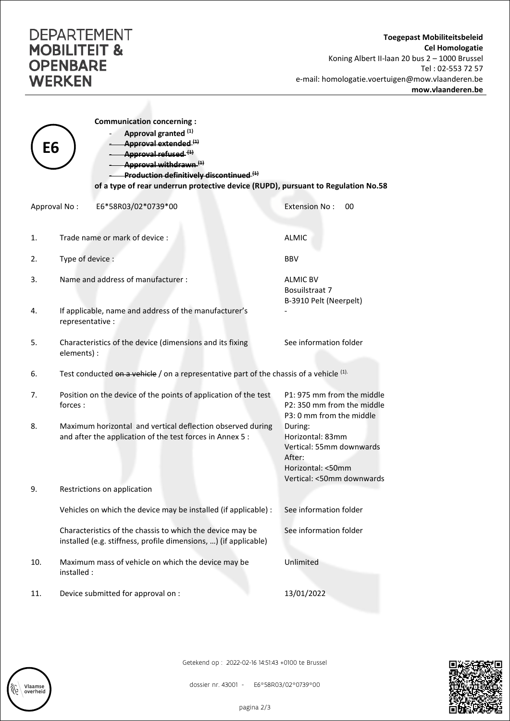## **DEPARTEMENT MOBILITEIT & OPENBARE WERKEN**

Vlaamse<br>overheid

| Е6           | <b>Communication concerning:</b><br>Approval granted (1)<br>Approval extended (1)<br>Approval refused <sup>(1)</sup>          |                                                                                                                     |  |  |  |  |
|--------------|-------------------------------------------------------------------------------------------------------------------------------|---------------------------------------------------------------------------------------------------------------------|--|--|--|--|
|              | Approval withdrawn <sup>(1)</sup><br>Production definitively discontinued. <sup>(1)</sup>                                     |                                                                                                                     |  |  |  |  |
|              | of a type of rear underrun protective device (RUPD), pursuant to Regulation No.58                                             |                                                                                                                     |  |  |  |  |
| Approval No: | E6*58R03/02*0739*00                                                                                                           | <b>Extension No:</b><br>00                                                                                          |  |  |  |  |
| 1.           | Trade name or mark of device:                                                                                                 | <b>ALMIC</b>                                                                                                        |  |  |  |  |
| 2.           | Type of device :                                                                                                              | <b>BBV</b>                                                                                                          |  |  |  |  |
| 3.           | Name and address of manufacturer:                                                                                             | <b>ALMIC BV</b><br>Bosuilstraat 7<br>B-3910 Pelt (Neerpelt)                                                         |  |  |  |  |
| 4.           | If applicable, name and address of the manufacturer's<br>representative :                                                     |                                                                                                                     |  |  |  |  |
| 5.           | Characteristics of the device (dimensions and its fixing<br>elements) :                                                       | See information folder                                                                                              |  |  |  |  |
| 6.           | Test conducted $\theta$ n a vehicle / on a representative part of the chassis of a vehicle $(1)$ .                            |                                                                                                                     |  |  |  |  |
| 7.           | Position on the device of the points of application of the test<br>forces:                                                    | P1: 975 mm from the middle<br>P2: 350 mm from the middle<br>P3: 0 mm from the middle                                |  |  |  |  |
| 8.           | Maximum horizontal and vertical deflection observed during<br>and after the application of the test forces in Annex 5 :       | During:<br>Horizontal: 83mm<br>Vertical: 55mm downwards<br>After:<br>Horizontal: <50mm<br>Vertical: <50mm downwards |  |  |  |  |
| 9.           | Restrictions on application                                                                                                   |                                                                                                                     |  |  |  |  |
|              | Vehicles on which the device may be installed (if applicable) :                                                               | See information folder                                                                                              |  |  |  |  |
|              | Characteristics of the chassis to which the device may be<br>installed (e.g. stiffness, profile dimensions, ) (if applicable) | See information folder                                                                                              |  |  |  |  |
| 10.          | Maximum mass of vehicle on which the device may be<br>installed :                                                             | Unlimited                                                                                                           |  |  |  |  |
| 11.          | Device submitted for approval on :                                                                                            | 13/01/2022                                                                                                          |  |  |  |  |

Getekend op : 2022-02-16 14:51:43 +0100 te Brussel



dossier nr. 43001 - E6\*58R03/02\*0739\*00